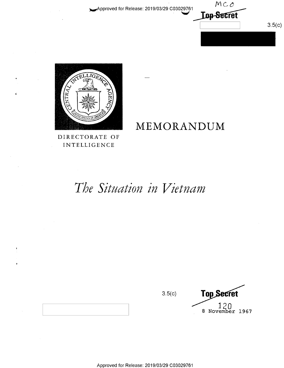Approved for Release: 2019/03/29 C03029761





DIRECTORATE OF **INTELLIGENCE** 

# MEMORANDUM

The Situation in Vietnam

 $3.5(c)$ 

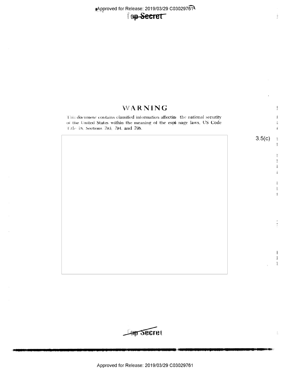# Top-Secret

# WARNING

This document contains classified information affecting the national security of the United States within the meaning of the espionage laws, US Code Title 18, Sections 793, 794, and 798.



Ì.

 $\frac{1}{2}$ 

 $\frac{1}{2}$ 

赢

Ä

 $\frac{4}{2}$ 渝

> 罪  $\mathbb{R}$  $\frac{3}{26}$  $\frac{d}{d\theta}$

 $\frac{1}{2}$ 豪 衢

 $\frac{\partial}{\partial t}$ 

輩 劃 劃

 $\tilde{\mathcal{U}}$ 

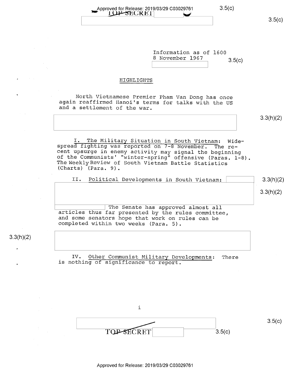Information as of 1600 8 November 1967 3.5(c)

### HIGHLIGHTS

North Vietnamese Premier Pham Van Dong has once again reaffirmed Hanoi's terms for talks with the US and a settlement of the war.

3.3(h)(2)

I. The Military Situation in South Vietnam: Wide-<br>spread fighting was reported on 7-8 November. The re-<br>cent upsurge in enemy activity may signal the beginning<br>of the Communists' "winter-spring" offensive (Paras. 1-8).<br>The

|  | II. Political Developments in South Vietnam: |  |  | 3.3(h)(2) |
|--|----------------------------------------------|--|--|-----------|
|  |                                              |  |  |           |

3.3(h)(2)

The Senate has approved almost all articles thus far presented by the rules committee, and some senators hope that work on rules can be completed within two weeks (Para. 5).

 $3.3(h)(2)$ 

 $\ddot{\phantom{0}}$ 

IV. Other Communist Military Developments: There is nothing of significance to report.

i TOP-SECRET 3.5(c)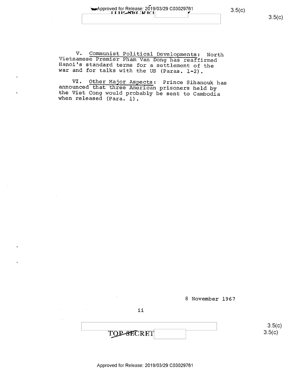بر<br>مە  $\frac{1}{\sqrt{3.5}}$  approved for Release: 2019/03/29 C03029761  $\sim$  3.5(c)

3.5(C)

V. Communist Political Developments: North Vietnamese Premier Pham Van Dong has reaffirmed Hanoi's standard terms for a settlement of the war and for talks with the US (Paras. 1-2).

VI. Other Major Aspects: Prince Sihanouk has announced that three American prisoners held by the Viet Cong would probably be sent to Cambodia when released (Para. l).



ii

TOP-SECRET

 $3.5(c)$  $3.5(c)$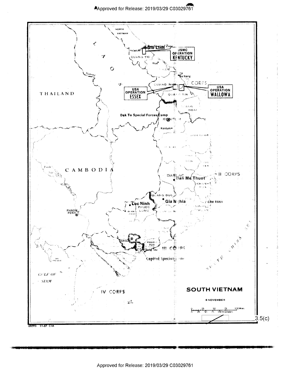

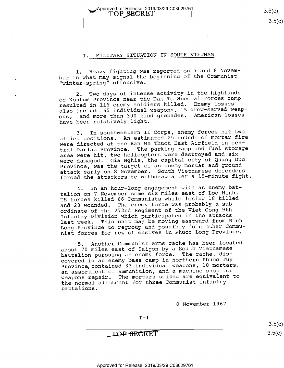$\gamma$ Approved for Release: 2019/03/29 C03029761  $\sqrt{\text{TOP} \text{ SECRE}}$  3.5(c)

 $3.5(c)$ 

### I. MILITARY SITUATION IN SOUTH VIETNAM

l. Heavy fighting was reported on 7 and 8 November in what may signal the beginning of the Communist "winter-spring" offensive.

2. Two days of intense activity in the highlands of Kontum Province near the Dak To Special Forces camp resulted in ll6 enemy soldiers killed. Enemy losses also include 65 individual weapons, 15 crew-served weap-<br>ons, and more than 300 hand grenades. American losses and more than 300 hand grenades. American losses have been relatively light.

3. In southwestern II Corps, enemy forces hit two allied positions. An estimated 25 rounds of mortar fire<br>Na Thust Part lingials in conwere directed at the Ban Me Thuot East Airfield in central Darlac Province. The parking ramp and fuel storage area were hit, two helicopters were destroyed and six were damaged. Gia Nghia, the capital city of Quang Duc Province, was the target of an enemy mortar and ground attack early on 8 November. South Vietnamese defenders forced the attackers to withdraw after a 15-minute fight.

4. In an hour-long engagement with an enemy battalion on 7 November some six miles east of Loc Ninh, US forces killed 66 Communists while losing 18 killed and 20 wounded. The enemy force was probably a subordinate of the 272nd Regiment of the Viet Cong 9th Infantry Division which participated in the attacks last week. This unit may be moving eastward from Binh Long Province to regroup and possibly join other Communist forces for new offensives in Phuoc Long Province.

5. Another Communist arms cache has been located about 70 miles east of Saigon by a South Vietnamese battalion pursuing an enemy force. The cache, discovered in an enemy base camp in northern Phuoc Tuy Province, contained 33 individual weapons, 18 mortars, an assortment of ammunition, and a machine shop for weapons repair. The mortars seized are equivalent to the normal allotment for three Communist infantry battalions.

<sup>8</sup>November 1967

| $T-1$      |      |
|------------|------|
|            | 2.1  |
| TOP-SECRET | 251/ |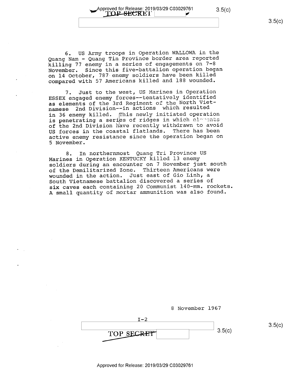Approved for Release: 2019/03/29 C03029761 3.5(c).<br>【**COL-SECR**EI】

6. US Army troops in Operation WALLOWA in the Quang Nam - Quang Tin Province border area reported killing 77 enemy in a series of engagements on 7-8 November. Since this five-battalion operation began on l4 October, 787-enemy soldiers have been killed compared with 57 Americans killed and 188 wounded.

7. Just to the west, US Marines in Operation ESSEX engaged enemy forces-—tentatively identified as elements of the 3rd Regiment of the North Vietnamese 2nd Division—-in actions which resulted in 36 enemy killed. This newly initiated operation is penetrating a series of ridges in which elevants of the 2nd Division have recently withdrawn to avoid US forces in the coastal flatlands. There has been active enemy resistance since the operation began on 5 November.

8. In northernmost Quang Tri Province US Marines in Operation KENTUCKY killed 13 enemy soldiers during an encounter on 7 November just south of the Demilitarized Zone. Thirteen Americans were wounded in the action. Just east of Gio Linh, a South Vietnamese battalion discovered a series of six caves each containing 20 Communist 140-mm. rockets. A small quantity of mortar ammunition was also found.

|            | 8 November 1967 |        |        |
|------------|-----------------|--------|--------|
| $I-2$      |                 |        |        |
| TOP SECRET |                 | 3.5(c) | 3.5(c) |
|            |                 |        |        |
|            |                 |        |        |

 $3.5(c)$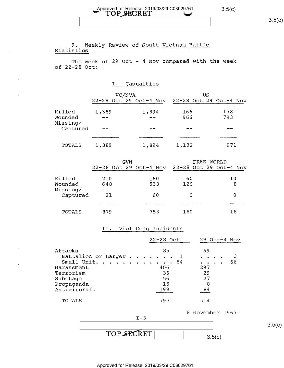# $3.5(c)$

# $\text{14.4}^{\circ}$  Approved for Release: 2019/03/29 C03029761 3.5(c)

# 9. Weekly Review of South Vietnam Battle<br>Statistics

The week of  $29$  Oct -  $4$  Nov compared with the week of 22-28 Oct:

I. Casualties

|                     | VC/NVA |                        |       | US                     |
|---------------------|--------|------------------------|-------|------------------------|
|                     |        | 22-28 Oct 29 Oct-4 Nov |       | 22-28 Oct 29 Oct-4 Nov |
| Killed              | 1,389  | 1,894                  | 166   | 178                    |
| Wounded<br>Missing/ |        | --                     | 966   | 793                    |
| Captured            |        |                        |       |                        |
|                     |        |                        |       |                        |
| TOTALS              | 1,389  | 1,894                  | 1,132 | 971                    |

|          | GVN                    |     | FREE WORLD             |    |
|----------|------------------------|-----|------------------------|----|
|          | 22-28 Oct 29 Oct-4 Nov |     | 22-28 Oct 29 Oct-4 Nov |    |
| Killed   | 210                    | 160 | 60                     | 10 |
| Wounded  | 648                    | 533 | 120                    | 8  |
| Missing/ |                        |     |                        |    |
| Captured | 21                     | 60  | 0                      | 0  |
|          |                        |     |                        |    |
| TOTALS   | 879                    | 753 | 180                    | 18 |

### II. Viet Cong Incidents

|                                                   | 22-28 Oct             | 29.<br>$Oct-4$ Nov   |
|---------------------------------------------------|-----------------------|----------------------|
| Attacks<br>Battalion or Larger<br>Small Unit.     | 85<br>84              | 69<br>66             |
| Harassment<br>Terrorism<br>Sabotage<br>Propaganda | 406<br>36<br>56<br>15 | 297<br>29<br>27<br>8 |
| Antiaircraft                                      | 199                   | 84                   |
| TOTALS                                            | 797                   | 514                  |



Approved for Release: 2019/03/29 C03029761

 $3.5(c)$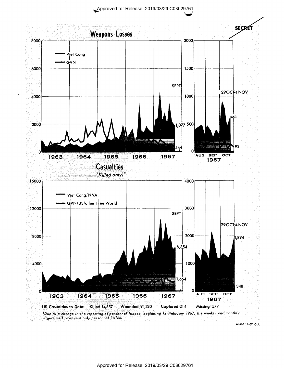Approved for Release 2019/03/29 C03029761



68565 11 67 CIA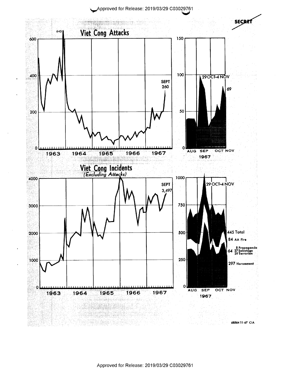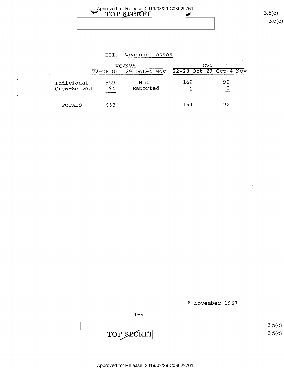Approved for Release: 2019/03/29 C03029761<br>
■ TOP SECRET 3.5(c)

 $3.5(c)$ 

## III. Weapons Losses

|                           | VC/NVA    |                        | GVN |                        |  |
|---------------------------|-----------|------------------------|-----|------------------------|--|
|                           |           | 22-28 Oct 29 Oct-4 Nov |     | 22-28 Oct 29 Oct-4 Nov |  |
| Individual<br>Crew-Served | 559<br>94 | Not<br>Reported        | 149 | 92                     |  |
| TOTALS                    | 653       |                        | 151 | 92                     |  |

8 November 1967

 $I-4$ 

 $\frac{3.5(1)}{2}$  $\text{TOP } \text{SECRET}$  3.5( /\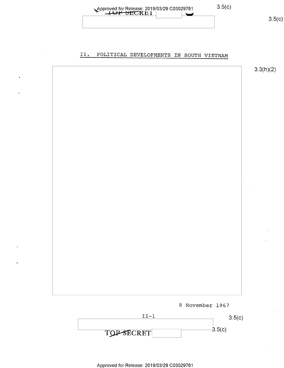

#### POLITICAL DEVELOPMENTS IN SOUTH VIETNAM II.





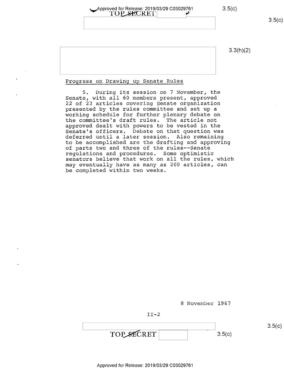| __Approved for Release: 2019/03/29 C03029761 | 3.5(c) |
|----------------------------------------------|--------|
| TOP SECRET                                   |        |
|                                              |        |

 $3.3(h)(2)$ 

### Progress on Drawing\_up Senate Rules

5. During its session on 7 November, the Senate, with all 60 members present, approved 22 of 23 articles covering Senate organization presented by the rules committee and set up a working schedule for further plenary debate on<br>the committee's draft rules. The article not the committee's draft rules. approved dealt with powers to be vested in the Senate's officers. Debate on that question was deferred until a later session. Also remaining to be accomplished are the drafting and approving of parts two and three of the rules--Senate regulations and procedures. Some optimistic senators believe that work on all the rules, which may eventually have as many as 200 articles, can be completed within two weeks.

<sup>8</sup>November 1967

II-2

 $TOP\_SECTION \t\t 3.5(c)$ 

Approved for Release: 2019/03/29 C03029761

 $3.5(c)$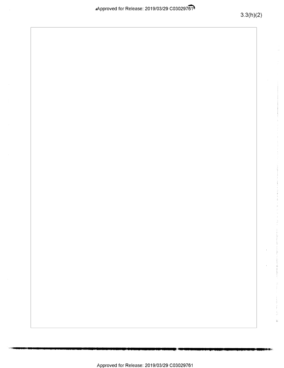ł,  $\overline{\mathbb{R}}$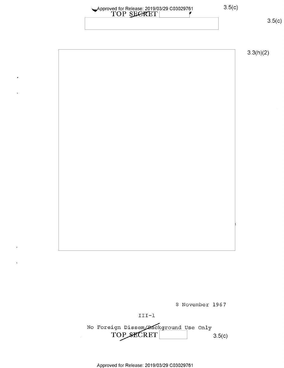| Approved for Release: 2019/03/29 C03029761 | 3.5(C) |
|--------------------------------------------|--------|
| TOP SEGRET                                 |        |
|                                            |        |

 $3.5(c)$ 

3.3(h)(2)

8 November 1967

III-l

No Foreign Dissem/Background Use Only  $TOP\_SECTION$   $3.5(c)$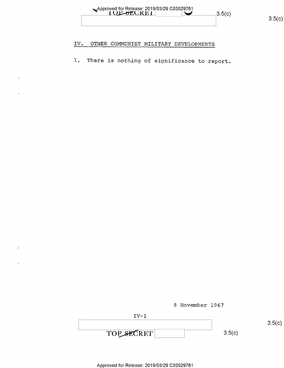

#### OTHER COMMUNIST MILITARY DEVELOPMENTS IV.

There is nothing of significance to report.  $1$  .

8 November 1967

| T 17 – 1   |        |
|------------|--------|
|            |        |
| TOP SECRET | 3.5(c) |

 $3.5(c)$ 

 $3.5(c)$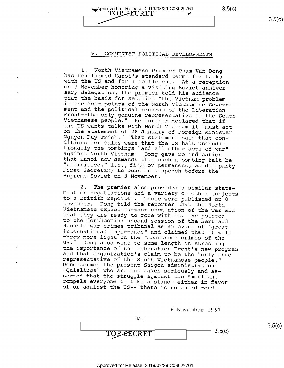Approved for Release: 2019/03/29 C03029761 3.5(C)<br>  $\blacksquare$  3.5(C) 3.5(C) TOP SECRET  $\rightarrow$  3.5(c)

### V. COMMUNIST POLITICAL DEVELOPMENTS

1. North Vietnamese Premier Pham Van Dong<br>has reafirmed Hanoi's standard terms for talks<br>with the US and for a settlement. At a reception<br>on 7 November honoring a visiting Soviet anniver-<br>sary delegation, the premier told

2. The premier also provided a similar state-<br>ment on negotiations and a variety of other subjects<br>to a British reporter. These were published on 8<br>November. Dong told the reporter that the North<br>Vietnamese expect further

<sup>8</sup>November 1967

$$
\begin{array}{c|c}\n & \text{1} \\
 \hline\n \text{TOP-SECRET} & & \\
 \hline\n 3.5(c) & & \\
 \hline\n 3.5(c)\n \end{array}
$$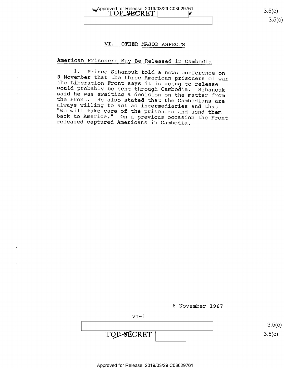

## VI. OTHER MAJOR ASPECTS

# American Prisoners May Be Released in Cambodia

1. Prince Sihanouk told a news conference on<br>8 November that the three American prisoners of war the Liberation Front says it is going to release<br>would probably be sent through Cambodia. Sihanouk<br>said he was awaiting a decision on the matter from<br>the Front. He also stated that the Cambodians are<br>always willing to act

<sup>8</sup>November 1967

VI-l

 $3.5(c)$ TOP-SECRET 3.5(c)